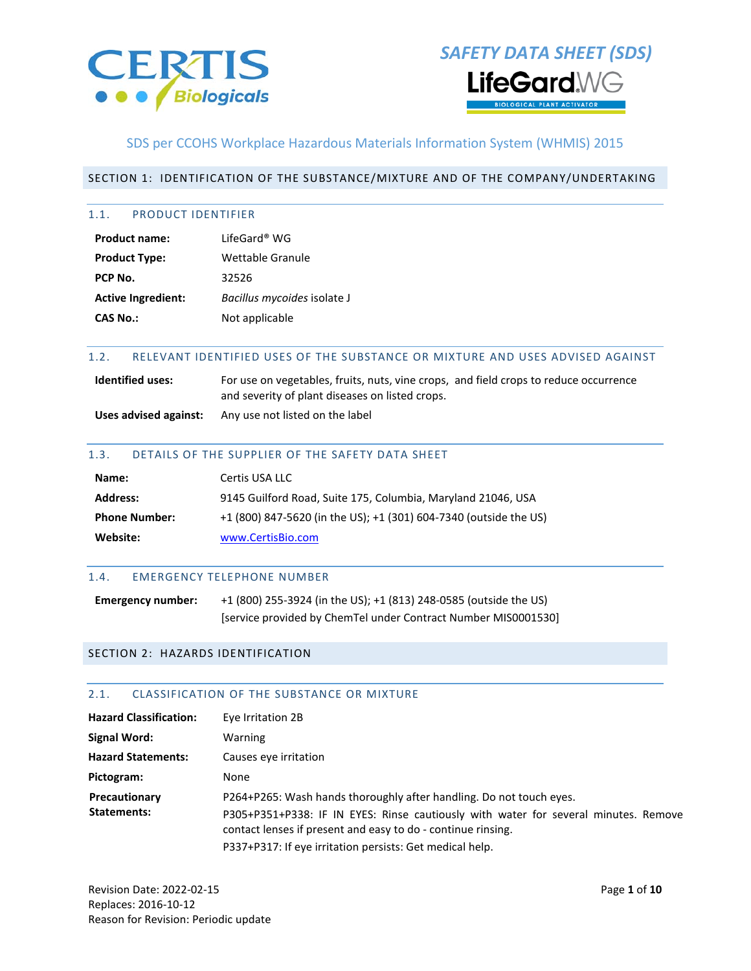



### SDS per CCOHS Workplace Hazardous Materials Information System (WHMIS) 2015

#### SECTION 1: IDENTIFICATION OF THE SUBSTANCE/MIXTURE AND OF THE COMPANY/UNDERTAKING

#### 1.1. PRODUCT IDENTIFIER

| LifeGard® WG                |
|-----------------------------|
| Wettable Granule            |
| 32526                       |
| Bacillus mycoides isolate J |
| Not applicable              |
|                             |

#### 1.2. RELEVANT IDENTIFIED USES OF THE SUBSTANCE OR MIXTURE AND USES ADVISED AGAINST

| <b>Identified uses:</b> | For use on vegetables, fruits, nuts, vine crops, and field crops to reduce occurrence |  |
|-------------------------|---------------------------------------------------------------------------------------|--|
|                         | and severity of plant diseases on listed crops.                                       |  |

**Uses advised against:** Any use not listed on the label

#### 1.3. DETAILS OF THE SUPPLIER OF THE SAFETY DATA SHEET

| Name:                | Certis USA LLC                                                    |
|----------------------|-------------------------------------------------------------------|
| <b>Address:</b>      | 9145 Guilford Road, Suite 175, Columbia, Maryland 21046, USA      |
| <b>Phone Number:</b> | +1 (800) 847-5620 (in the US); +1 (301) 604-7340 (outside the US) |
| Website:             | www.CertisBio.com                                                 |

#### 1.4. EMERGENCY TELEPHONE NUMBER

**Emergency number:** +1 (800) 255-3924 (in the US); +1 (813) 248-0585 (outside the US) [service provided by ChemTel under Contract Number MIS0001530]

#### SECTION 2: HAZARDS IDENTIFICATION

#### 2.1. CLASSIFICATION OF THE SUBSTANCE OR MIXTURE

| <b>Hazard Classification:</b> | Eye Irritation 2B                                                                                                                                   |
|-------------------------------|-----------------------------------------------------------------------------------------------------------------------------------------------------|
| Signal Word:                  | Warning                                                                                                                                             |
| <b>Hazard Statements:</b>     | Causes eve irritation                                                                                                                               |
| Pictogram:                    | None                                                                                                                                                |
| Precautionary                 | P264+P265: Wash hands thoroughly after handling. Do not touch eyes.                                                                                 |
| Statements:                   | P305+P351+P338: IF IN EYES: Rinse cautiously with water for several minutes. Remove<br>contact lenses if present and easy to do - continue rinsing. |
|                               | P337+P317: If eye irritation persists: Get medical help.                                                                                            |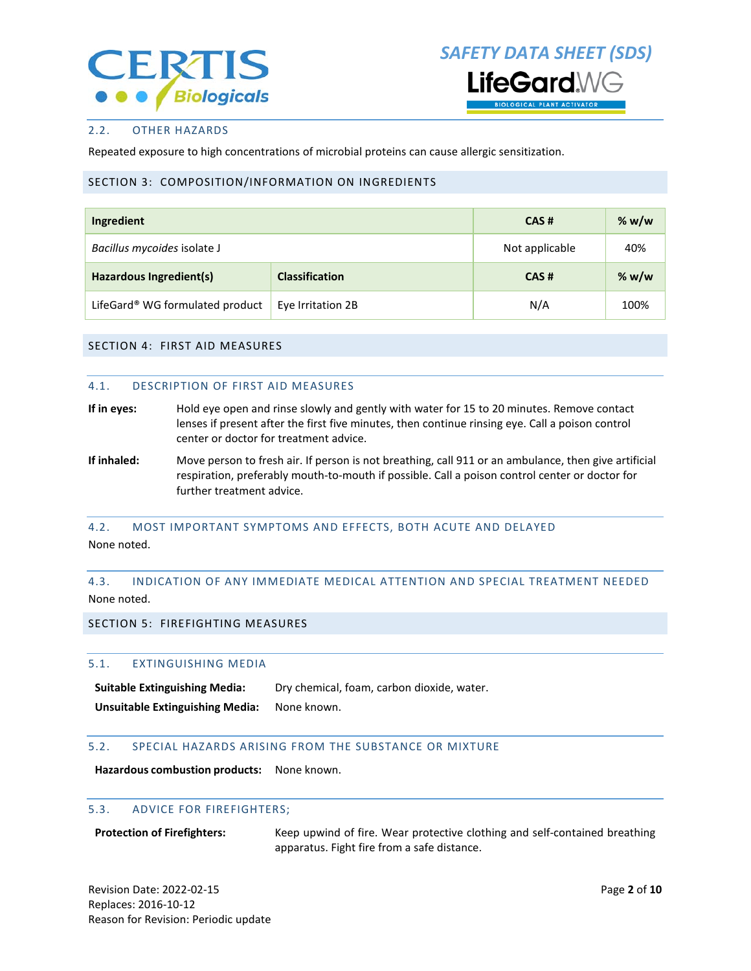

*SAFETY DATA SHEET (SDS)* l ifeGard\

#### 2.2. OTHER HAZARDS

Repeated exposure to high concentrations of microbial proteins can cause allergic sensitization.

#### SECTION 3: COMPOSITION/INFORMATION ON INGREDIENTS

| Ingredient                                       | CAS#              | % $w/w$        |         |
|--------------------------------------------------|-------------------|----------------|---------|
| Bacillus mycoides isolate J                      |                   | Not applicable | 40%     |
| Hazardous Ingredient(s)<br><b>Classification</b> |                   | CAS#           | % $w/w$ |
| LifeGard® WG formulated product                  | Eye Irritation 2B | N/A            | 100%    |

#### SECTION 4: FIRST AID MEASURES

#### 4.1. DESCRIPTION OF FIRST AID MEASURES

- **If in eyes:** Hold eye open and rinse slowly and gently with water for 15 to 20 minutes. Remove contact lenses if present after the first five minutes, then continue rinsing eye. Call a poison control center or doctor for treatment advice.
- **If inhaled:** Move person to fresh air. If person is not breathing, call 911 or an ambulance, then give artificial respiration, preferably mouth-to-mouth if possible. Call a poison control center or doctor for further treatment advice.

#### 4.2. MOST IMPORTANT SYMPTOMS AND EFFECTS, BOTH ACUTE AND DELAYED None noted.

#### 4.3. INDICATION OF ANY IMMEDIATE MEDICAL ATTENTION AND SPECIAL TREATMENT NEEDED None noted.

#### SECTION 5: FIREFIGHTING MEASURES

#### 5.1. EXTINGUISHING MEDIA

Suitable Extinguishing Media: Dry chemical, foam, carbon dioxide, water. **Unsuitable Extinguishing Media:** None known.

#### 5.2. SPECIAL HAZARDS ARISING FROM THE SUBSTANCE OR MIXTURE

**Hazardous combustion products:** None known.

#### 5.3. ADVICE FOR FIREFIGHTERS;

**Protection of Firefighters:** Keep upwind of fire. Wear protective clothing and self-contained breathing apparatus. Fight fire from a safe distance.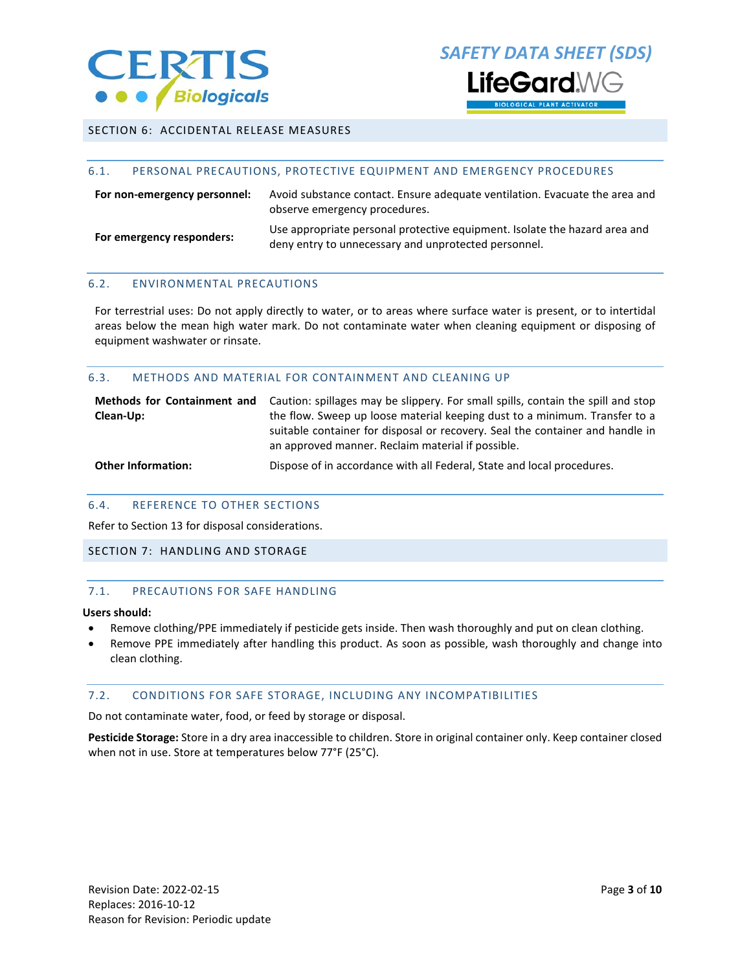

*SAFETY DATA SHEET (SDS)* l ifeGard **DLOGICAL PLANT ACTIVATOR** 

#### SECTION 6: ACCIDENTAL RELEASE MEASURES

#### 6.1. PERSONAL PRECAUTIONS, PROTECTIVE EQUIPMENT AND EMERGENCY PROCEDURES

| For non-emergency personnel: | Avoid substance contact. Ensure adequate ventilation. Evacuate the area and<br>observe emergency procedures.                       |
|------------------------------|------------------------------------------------------------------------------------------------------------------------------------|
| For emergency responders:    | Use appropriate personal protective equipment. Isolate the hazard area and<br>deny entry to unnecessary and unprotected personnel. |

#### 6.2. ENVIRONMENTAL PRECAUTIONS

For terrestrial uses: Do not apply directly to water, or to areas where surface water is present, or to intertidal areas below the mean high water mark. Do not contaminate water when cleaning equipment or disposing of equipment washwater or rinsate.

#### 6.3. METHODS AND MATERIAL FOR CONTAINMENT AND CLEANING UP

| Methods for Containment and<br>Clean-Up: | Caution: spillages may be slippery. For small spills, contain the spill and stop<br>the flow. Sweep up loose material keeping dust to a minimum. Transfer to a<br>suitable container for disposal or recovery. Seal the container and handle in<br>an approved manner. Reclaim material if possible. |
|------------------------------------------|------------------------------------------------------------------------------------------------------------------------------------------------------------------------------------------------------------------------------------------------------------------------------------------------------|
| <b>Other Information:</b>                | Dispose of in accordance with all Federal, State and local procedures.                                                                                                                                                                                                                               |

#### 6.4. REFERENCE TO OTHER SECTIONS

Refer to Section 13 for disposal considerations.

#### SECTION 7: HANDLING AND STORAGE

#### 7.1. PRECAUTIONS FOR SAFE HANDLING

#### **Users should:**

- Remove clothing/PPE immediately if pesticide gets inside. Then wash thoroughly and put on clean clothing.
- Remove PPE immediately after handling this product. As soon as possible, wash thoroughly and change into clean clothing.

#### 7.2. CONDITIONS FOR SAFE STORAGE, INCLUDING ANY INCOMPATIBILITIES

Do not contaminate water, food, or feed by storage or disposal.

**Pesticide Storage:** Store in a dry area inaccessible to children. Store in original container only. Keep container closed when not in use. Store at temperatures below 77°F (25°C).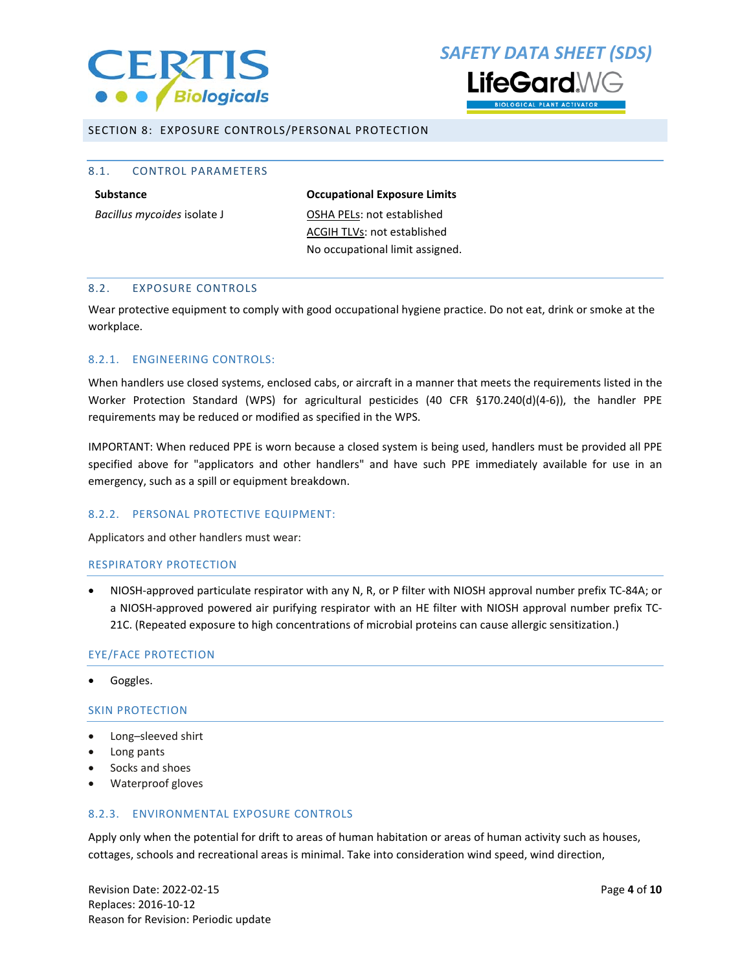

# *SAFETY DATA SHEET (SDS)* l ifeGard\



SECTION 8: EXPOSURE CONTROLS/PERSONAL PROTECTION

#### 8.1. CONTROL PARAMETERS

**Substance Occupational Exposure Limits** *Bacillus mycoides* isolate J **OSHA PELS:** not established ACGIH TLVs: not established No occupational limit assigned.

#### 8.2. EXPOSURE CONTROLS

Wear protective equipment to comply with good occupational hygiene practice. Do not eat, drink or smoke at the workplace.

#### 8.2.1. ENGINEERING CONTROLS:

When handlers use closed systems, enclosed cabs, or aircraft in a manner that meets the requirements listed in the Worker Protection Standard (WPS) for agricultural pesticides (40 CFR §170.240(d)(4-6)), the handler PPE requirements may be reduced or modified as specified in the WPS.

IMPORTANT: When reduced PPE is worn because a closed system is being used, handlers must be provided all PPE specified above for "applicators and other handlers" and have such PPE immediately available for use in an emergency, such as a spill or equipment breakdown.

#### 8.2.2. PERSONAL PROTECTIVE EQUIPMENT:

Applicators and other handlers must wear:

#### RESPIRATORY PROTECTION

• NIOSH-approved particulate respirator with any N, R, or P filter with NIOSH approval number prefix TC-84A; or a NIOSH-approved powered air purifying respirator with an HE filter with NIOSH approval number prefix TC-21C. (Repeated exposure to high concentrations of microbial proteins can cause allergic sensitization.)

#### EYE/FACE PROTECTION

• Goggles.

#### SKIN PROTECTION

- Long–sleeved shirt
- Long pants
- Socks and shoes
- Waterproof gloves

#### 8.2.3. ENVIRONMENTAL EXPOSURE CONTROLS

Apply only when the potential for drift to areas of human habitation or areas of human activity such as houses, cottages, schools and recreational areas is minimal. Take into consideration wind speed, wind direction,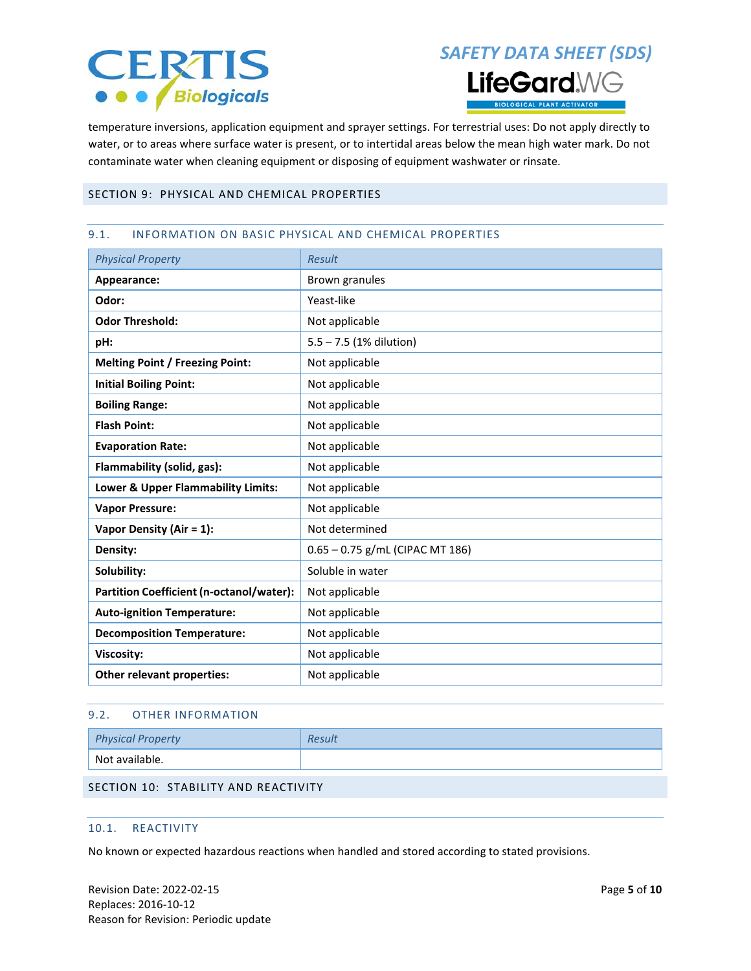# **CERTIS O** *Biologicals*

# *SAFETY DATA SHEET (SDS)* **LifeGard**WG **DLOGICAL PLANT ACTIVATOR**

temperature inversions, application equipment and sprayer settings. For terrestrial uses: Do not apply directly to water, or to areas where surface water is present, or to intertidal areas below the mean high water mark. Do not contaminate water when cleaning equipment or disposing of equipment washwater or rinsate.

#### SECTION 9: PHYSICAL AND CHEMICAL PROPERTIES

#### 9.1. INFORMATION ON BASIC PHYSICAL AND CHEMICAL PROPERTIES

| <b>Physical Property</b>                        | <b>Result</b>                     |  |  |  |
|-------------------------------------------------|-----------------------------------|--|--|--|
| Appearance:                                     | Brown granules                    |  |  |  |
| Odor:                                           | Yeast-like                        |  |  |  |
| <b>Odor Threshold:</b>                          | Not applicable                    |  |  |  |
| pH:                                             | $5.5 - 7.5$ (1% dilution)         |  |  |  |
| <b>Melting Point / Freezing Point:</b>          | Not applicable                    |  |  |  |
| <b>Initial Boiling Point:</b>                   | Not applicable                    |  |  |  |
| <b>Boiling Range:</b>                           | Not applicable                    |  |  |  |
| <b>Flash Point:</b>                             | Not applicable                    |  |  |  |
| <b>Evaporation Rate:</b>                        | Not applicable                    |  |  |  |
| Flammability (solid, gas):                      | Not applicable                    |  |  |  |
| Lower & Upper Flammability Limits:              | Not applicable                    |  |  |  |
| <b>Vapor Pressure:</b>                          | Not applicable                    |  |  |  |
| Vapor Density (Air = 1):                        | Not determined                    |  |  |  |
| Density:                                        | $0.65 - 0.75$ g/mL (CIPAC MT 186) |  |  |  |
| Solubility:                                     | Soluble in water                  |  |  |  |
| <b>Partition Coefficient (n-octanol/water):</b> | Not applicable                    |  |  |  |
| <b>Auto-ignition Temperature:</b>               | Not applicable                    |  |  |  |
| <b>Decomposition Temperature:</b>               | Not applicable                    |  |  |  |
| Viscosity:                                      | Not applicable                    |  |  |  |
| Other relevant properties:                      | Not applicable                    |  |  |  |

#### 9.2. OTHER INFORMATION

| <b>Physical Property</b> | Result |
|--------------------------|--------|
| Not available.           |        |

#### SECTION 10: STABILITY AND REACTIVITY

#### 10.1. REACTIVITY

No known or expected hazardous reactions when handled and stored according to stated provisions.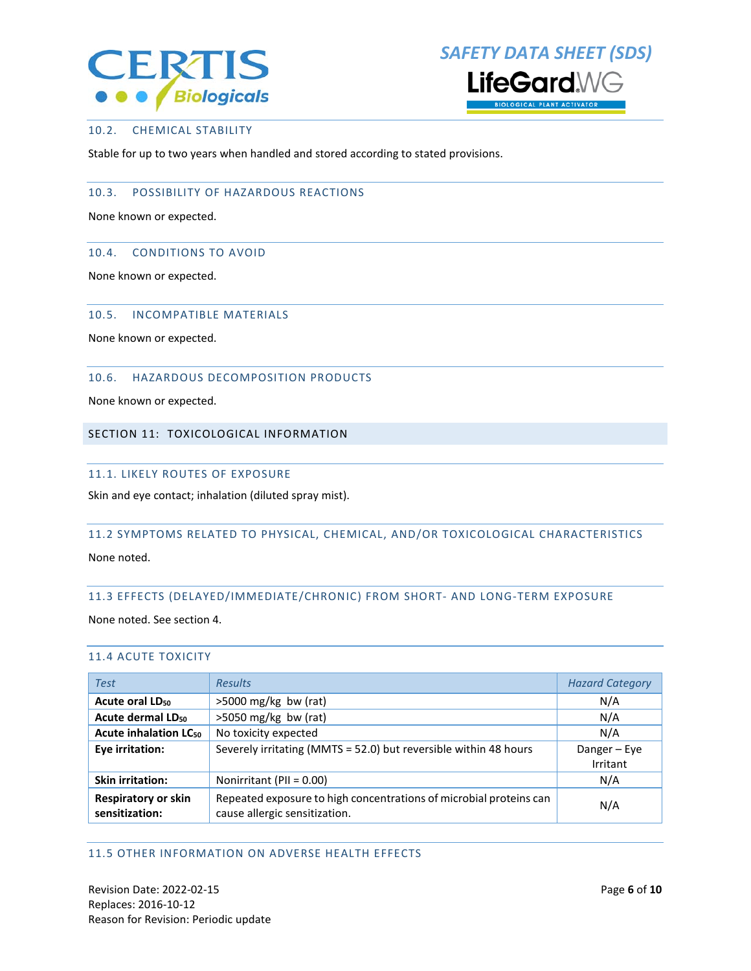



#### 10.2. CHEMICAL STABILITY

Stable for up to two years when handled and stored according to stated provisions.

#### 10.3. POSSIBILITY OF HAZARDOUS REACTIONS

None known or expected.

#### 10.4. CONDITIONS TO AVOID

None known or expected.

#### 10.5. INCOMPATIBLE MATERIALS

None known or expected.

#### 10.6. HAZARDOUS DECOMPOSITION PRODUCTS

None known or expected.

#### SECTION 11: TOXICOLOGICAL INFORMATION

#### 11.1. LIKELY ROUTES OF EXPOSURE

Skin and eye contact; inhalation (diluted spray mist).

#### 11.2 SYMPTOMS RELATED TO PHYSICAL, CHEMICAL, AND/OR TOXICOLOGICAL CHARACTERISTICS

None noted.

#### 11.3 EFFECTS (DELAYED/IMMEDIATE/CHRONIC) FROM SHORT- AND LONG-TERM EXPOSURE

None noted. See section 4.

#### 11.4 ACUTE TOXICITY

| <b>Test</b>                                  | <b>Results</b>                                                                                      | <b>Hazard Category</b>   |
|----------------------------------------------|-----------------------------------------------------------------------------------------------------|--------------------------|
| Acute oral LD <sub>50</sub>                  | $>5000$ mg/kg bw (rat)                                                                              | N/A                      |
| Acute dermal LD <sub>50</sub>                | $>5050$ mg/kg bw (rat)                                                                              | N/A                      |
| <b>Acute inhalation LC<sub>50</sub></b>      | No toxicity expected                                                                                | N/A                      |
| Eye irritation:                              | Severely irritating (MMTS = 52.0) but reversible within 48 hours                                    | Danger - Eye<br>Irritant |
| <b>Skin irritation:</b>                      | Nonirritant (PII = 0.00)                                                                            | N/A                      |
| <b>Respiratory or skin</b><br>sensitization: | Repeated exposure to high concentrations of microbial proteins can<br>cause allergic sensitization. | N/A                      |

#### 11.5 OTHER INFORMATION ON ADVERSE HEALTH EFFECTS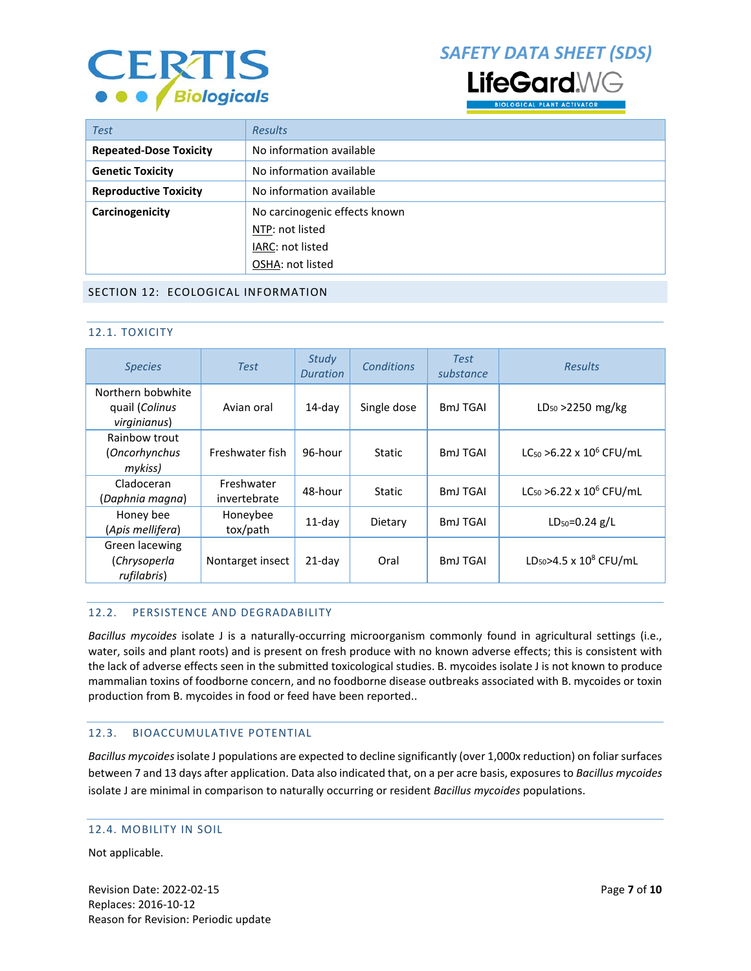

*SAFETY DATA SHEET (SDS)*



| <b>Test</b>                   | <b>Results</b>                |  |  |  |
|-------------------------------|-------------------------------|--|--|--|
| <b>Repeated-Dose Toxicity</b> | No information available      |  |  |  |
| <b>Genetic Toxicity</b>       | No information available      |  |  |  |
| <b>Reproductive Toxicity</b>  | No information available      |  |  |  |
| Carcinogenicity               | No carcinogenic effects known |  |  |  |
|                               | NTP: not listed               |  |  |  |
|                               | IARC: not listed              |  |  |  |
|                               | OSHA: not listed              |  |  |  |

#### SECTION 12: ECOLOGICAL INFORMATION

#### 12.1. TOXICITY

| <b>Species</b>                                      | <b>Test</b>                | Study<br><b>Duration</b> | Conditions    | <b>Test</b><br>substance | <b>Results</b>                        |
|-----------------------------------------------------|----------------------------|--------------------------|---------------|--------------------------|---------------------------------------|
| Northern bobwhite<br>quail (Colinus<br>virginianus) | Avian oral                 | $14$ -day                | Single dose   | <b>BmJ TGAI</b>          | $LD_{50} > 2250$ mg/kg                |
| Rainbow trout<br>(Oncorhynchus<br>mykiss)           | Freshwater fish            | 96-hour                  | <b>Static</b> | <b>BmJ TGAI</b>          | $LC_{50} > 6.22 \times 10^{6}$ CFU/mL |
| Cladoceran<br>(Daphnia magna)                       | Freshwater<br>invertebrate | 48-hour                  | <b>Static</b> | <b>BmJ TGAI</b>          | $LC_{50} > 6.22 \times 10^{6}$ CFU/mL |
| Honey bee<br>(Apis mellifera)                       | Honeybee<br>tox/path       | $11$ -day                | Dietary       | <b>BmJ TGAI</b>          | $LD_{50} = 0.24$ g/L                  |
| Green lacewing<br>(Chrysoperla<br>rufilabris)       | Nontarget insect           | $21$ -day                | Oral          | <b>BmJ TGAI</b>          | LD <sub>50</sub> >4.5 x $10^8$ CFU/mL |

#### 12.2. PERSISTENCE AND DEGRADABILITY

*Bacillus mycoides* isolate J is a naturally-occurring microorganism commonly found in agricultural settings (i.e., water, soils and plant roots) and is present on fresh produce with no known adverse effects; this is consistent with the lack of adverse effects seen in the submitted toxicological studies. B. mycoides isolate J is not known to produce mammalian toxins of foodborne concern, and no foodborne disease outbreaks associated with B. mycoides or toxin production from B. mycoides in food or feed have been reported..

#### 12.3. BIOACCUMULATIVE POTENTIAL

*Bacillus mycoides* isolate J populations are expected to decline significantly (over 1,000x reduction) on foliar surfaces between 7 and 13 days after application. Data also indicated that, on a per acre basis, exposures to *Bacillus mycoides*  isolate J are minimal in comparison to naturally occurring or resident *Bacillus mycoides* populations.

#### 12.4. MOBILITY IN SOIL

Not applicable.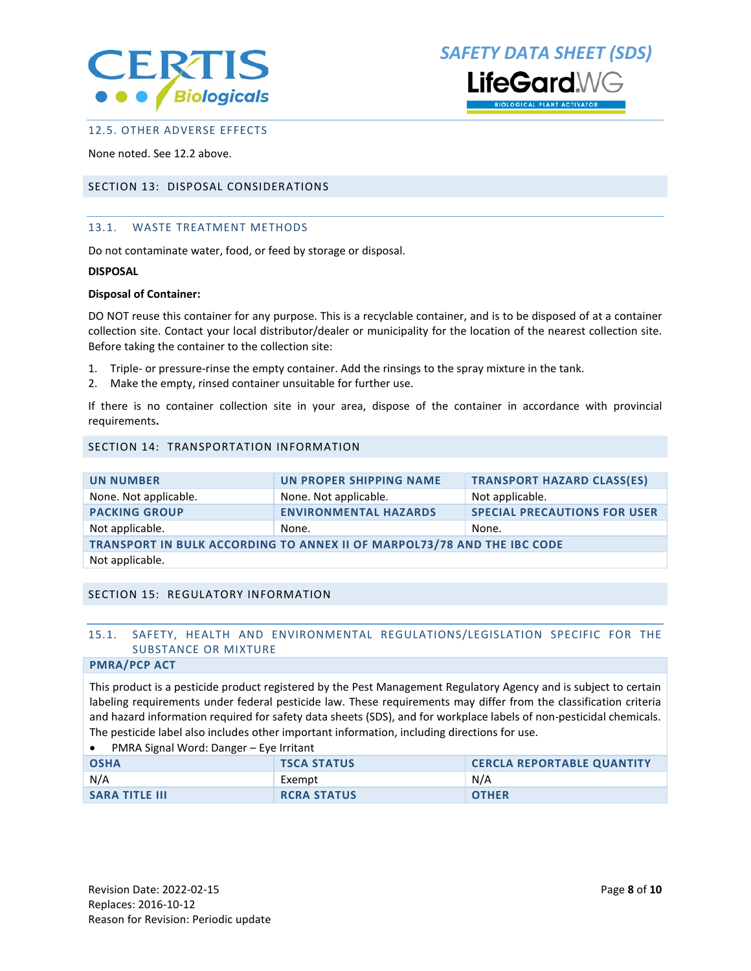

*SAFETY DATA SHEET (SDS)* feGard\

**OGICAL PLANT ACTIVATOR** 

#### 12.5. OTHER ADVERSE EFFECTS

None noted. See 12.2 above.

#### SECTION 13: DISPOSAL CONSIDERATIONS

#### 13.1. WASTE TREATMENT METHODS

Do not contaminate water, food, or feed by storage or disposal.

#### **DISPOSAL**

#### **Disposal of Container:**

DO NOT reuse this container for any purpose. This is a recyclable container, and is to be disposed of at a container collection site. Contact your local distributor/dealer or municipality for the location of the nearest collection site. Before taking the container to the collection site:

- 1. Triple- or pressure-rinse the empty container. Add the rinsings to the spray mixture in the tank.
- 2. Make the empty, rinsed container unsuitable for further use.

If there is no container collection site in your area, dispose of the container in accordance with provincial requirements**.**

#### SECTION 14: TRANSPORTATION INFORMATION

| <b>UN NUMBER</b>                                                        | UN PROPER SHIPPING NAME      | <b>TRANSPORT HAZARD CLASS(ES)</b>   |  |
|-------------------------------------------------------------------------|------------------------------|-------------------------------------|--|
| None. Not applicable.                                                   | None. Not applicable.        | Not applicable.                     |  |
| <b>PACKING GROUP</b>                                                    | <b>ENVIRONMENTAL HAZARDS</b> | <b>SPECIAL PRECAUTIONS FOR USER</b> |  |
| Not applicable.                                                         | None.                        | None.                               |  |
| TRANSPORT IN BULK ACCORDING TO ANNEX II OF MARPOL73/78 AND THE IBC CODE |                              |                                     |  |
| Not applicable.                                                         |                              |                                     |  |

#### SECTION 15: REGULATORY INFORMATION

#### 15.1. SAFETY, HEALTH AND ENVIRONMENTAL REGULATIONS/LEGISLATION SPECIFIC FOR THE SUBSTANCE OR MIXTURE

#### **PMRA/PCP ACT**

This product is a pesticide product registered by the Pest Management Regulatory Agency and is subject to certain labeling requirements under federal pesticide law. These requirements may differ from the classification criteria and hazard information required for safety data sheets (SDS), and for workplace labels of non-pesticidal chemicals. The pesticide label also includes other important information, including directions for use.

• PMRA Signal Word: Danger – Eye Irritant

| <b>OSHA</b>           | <b>TSCA STATUS</b> | <b>CERCLA REPORTABLE QUANTITY</b> |
|-----------------------|--------------------|-----------------------------------|
| N/A                   | Exempt             | N/A                               |
| <b>SARA TITLE III</b> | <b>RCRA STATUS</b> | <b>OTHER</b>                      |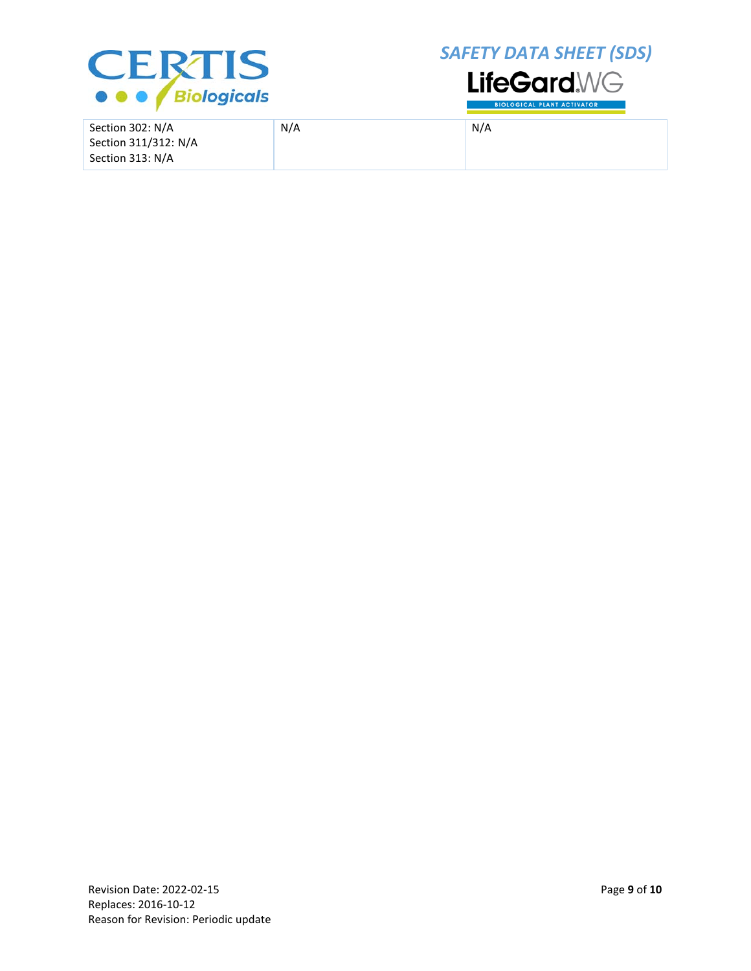

*SAFETY DATA SHEET (SDS)*



Section 302: N/A Section 311/312: N/A Section 313: N/A N/A N/A